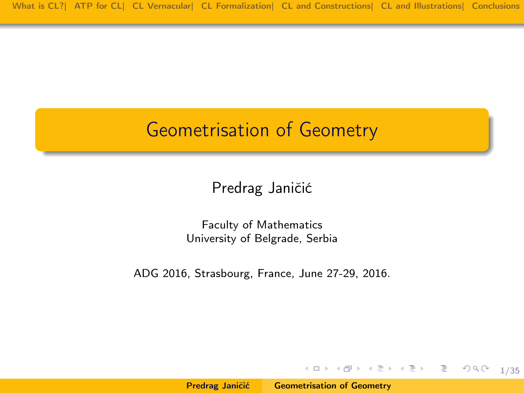#### <span id="page-0-1"></span>Geometrisation of Geometry

Predrag Janičić

Faculty of Mathematics University of Belgrade, Serbia

ADG 2016, Strasbourg, France, June 27-29, 2016.

지 그 시 지 않아 지 말아 지 말아서 말 말.

<span id="page-0-0"></span>1/35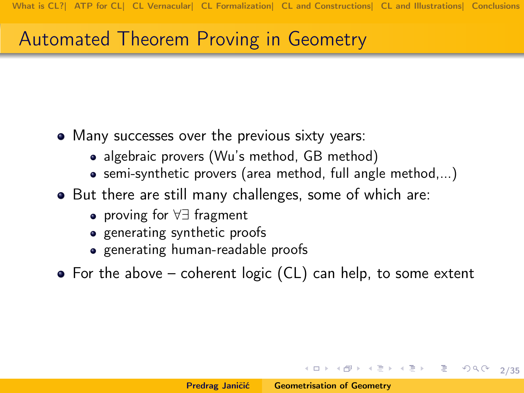#### Automated Theorem Proving in Geometry

- Many successes over the previous sixty years:
	- algebraic provers (Wu's method, GB method)
	- semi-synthetic provers (area method, full angle method,...)
- But there are still many challenges, some of which are:
	- proving for ∀∃ fragment
	- generating synthetic proofs
	- generating human-readable proofs
- For the above coherent logic (CL) can help, to some extent

K ロ > K @ > K 할 > K 할 > → 할 → 9 Q @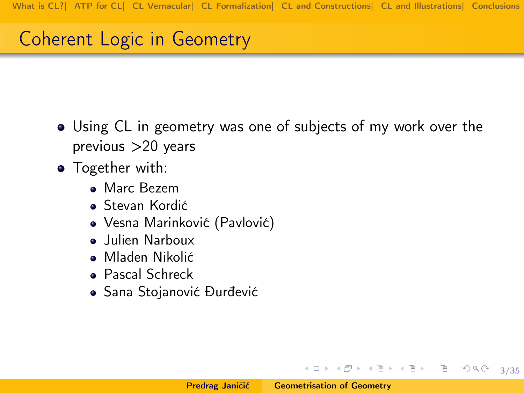# Coherent Logic in Geometry

- Using CL in geometry was one of subjects of my work over the  $previous > 20$  years
- **•** Together with:
	- **Marc Bezem**
	- Stevan Kordić
	- Vesna Marinković (Pavlović)
	- Julien Narboux
	- Mladen Nikolić
	- Pascal Schreck
	- Sana Stojanović Ðurđević

イロメ イ母メ イヨメ イヨメー ヨー

3/35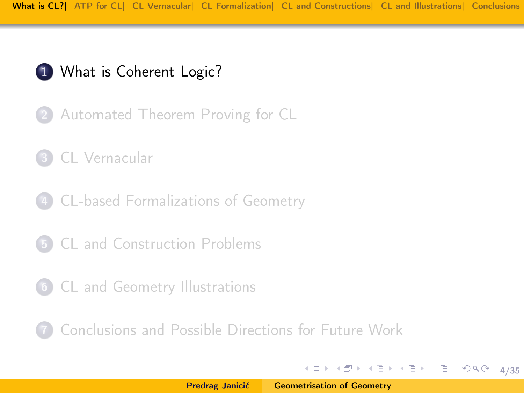

- 2 [Automated Theorem Proving for CL](#page-10-0)
- 3 [CL Vernacular](#page-13-0)
- 4 [CL-based Formalizations of Geometry](#page-17-0)
- 5 [CL and Construction Problems](#page-23-0)
- 6 [CL and Geometry Illustrations](#page-27-0)

7 [Conclusions and Possible Directions for Future Work](#page-33-0)

《 ロ 》 《 母 》 《 ヨ 》 《 ヨ 》 《 ヨ 》

<span id="page-3-0"></span>4/35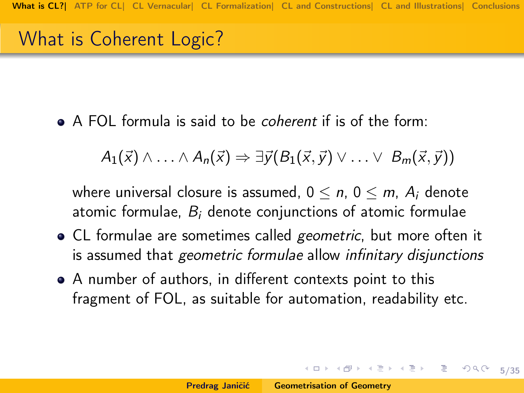## What is Coherent Logic?

A FOL formula is said to be coherent if is of the form:

 $A_1(\vec{x}) \wedge \ldots \wedge A_n(\vec{x}) \Rightarrow \exists \vec{v} (B_1(\vec{x},\vec{v}) \vee \ldots \vee B_m(\vec{x},\vec{v}))$ 

where universal closure is assumed,  $0 \le n$ ,  $0 \le m$ ,  $A_i$  denote atomic formulae,  $B_i$  denote conjunctions of atomic formulae

- CL formulae are sometimes called geometric, but more often it is assumed that geometric formulae allow infinitary disjunctions
- A number of authors, in different contexts point to this fragment of FOL, as suitable for automation, readability etc.

5/35

**K ロ > K 레 > K 코 > K 코 > 트로드 > O Q @**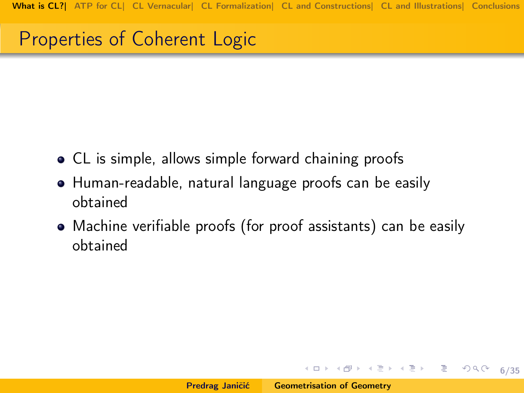#### Properties of Coherent Logic

- CL is simple, allows simple forward chaining proofs
- Human-readable, natural language proofs can be easily obtained
- Machine verifiable proofs (for proof assistants) can be easily obtained

イロト イ母 トイミト イミト ニヨー りくび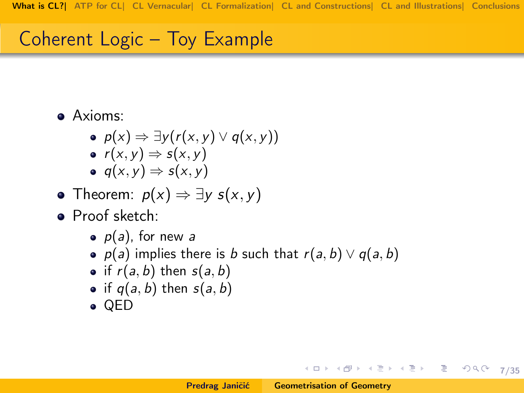# Coherent Logic – Toy Example

- Axioms:
	- $p(x) \Rightarrow \exists y (r(x, y) \vee q(x, y))$
	- $r(x, y) \Rightarrow s(x, y)$
	- $q(x, y) \Rightarrow s(x, y)$
- Theorem:  $p(x) \Rightarrow \exists y s(x, y)$
- Proof sketch:
	- $\bullet$   $p(a)$ , for new a
	- $p(a)$  implies there is b such that  $r(a, b) \vee q(a, b)$
	- if  $r(a, b)$  then  $s(a, b)$
	- if  $q(a, b)$  then  $s(a, b)$
	- QED

K ロ ▶ K @ ▶ K ミ ▶ K ミ ▶ │ ミ │ K 9 Q Q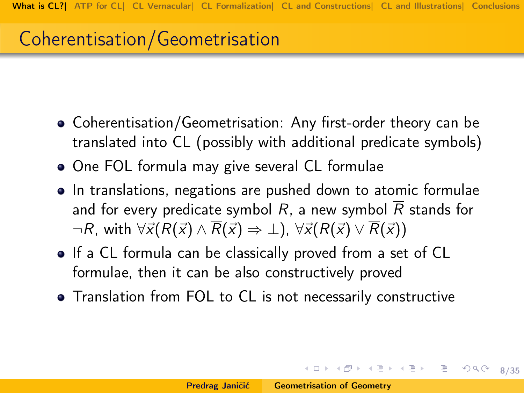# Coherentisation/Geometrisation

- Coherentisation/Geometrisation: Any first-order theory can be translated into CL (possibly with additional predicate symbols)
- One FOL formula may give several CL formulae
- In translations, negations are pushed down to atomic formulae and for every predicate symbol R, a new symbol  $\overline{R}$  stands for  $\neg R$ , with  $\forall \vec{x} (R(\vec{x}) \land \overline{R}(\vec{x}) \Rightarrow \bot)$ ,  $\forall \vec{x} (R(\vec{x}) \lor \overline{R}(\vec{x}))$
- If a CL formula can be classically proved from a set of CL formulae, then it can be also constructively proved
- Translation from FOL to CL is not necessarily constructive

K ロ ▶ K @ ▶ K 글 ▶ K 글 ▶ │ 글 │

<span id="page-7-0"></span>8/35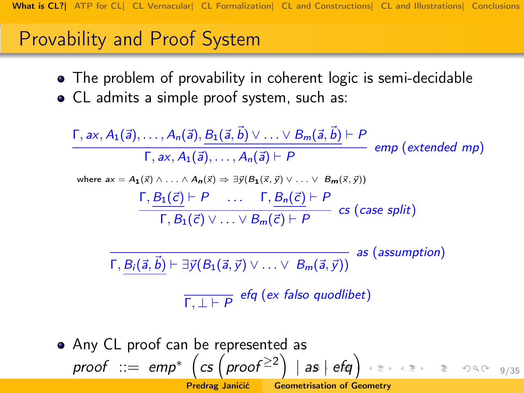## Provability and Proof System

- The problem of provability in coherent logic is semi-decidable
- CL admits a simple proof system, such as:

$$
\frac{\Gamma, ax, A_1(\vec{a}), \dots, A_n(\vec{a}), B_1(\vec{a}, \vec{b}) \vee \dots \vee B_m(\vec{a}, \vec{b}) \vdash P}{\Gamma, ax, A_1(\vec{a}), \dots, A_n(\vec{a}) \vdash P} \text{ emp (extended mp)}
$$
\nwhere  $ax = A_1(x) \land \dots \land A_n(x) \Rightarrow \exists y (B_1(x, y) \lor \dots \lor B_m(x, y))$   
\n
$$
\frac{\Gamma, B_1(\vec{c}) \vdash P}{\Gamma, B_1(\vec{c}) \lor \dots \lor B_m(\vec{c}) \vdash P} \text{ cs (case split)}
$$
\n
$$
\frac{\Gamma, B_i(\vec{a}, \vec{b}) \vdash \exists y (B_1(\vec{a}, \vec{y}) \lor \dots \lor B_m(\vec{a}, \vec{y}))}{\Gamma, B_i(\vec{a}, \vec{b})} \text{ as (assumption)}
$$
\n
$$
\frac{\Gamma, \bot \vdash P}{\Gamma, \bot \vdash P} \text{ efg (ex false quadlibet)}
$$

<span id="page-8-0"></span> $\mathsf{proof} \ ::=\ \mathsf{emp}^* \ \left(\mathsf{cs} \left(\mathsf{proof}^{\geq 2}\right) \ \vert \ \mathsf{as} \ \vert \ \mathsf{efg}\right) \ \ \textcolor{red}{\mathsf{ess} \ \ast \ } \ \ \textcolor{red}{\mathsf{ess} \ \ } \ \ \textcolor{red}{\mathsf{ess} \ \ } \ \ \textcolor{red}{\mathsf{ess} \ \ } \ \ \textcolor{red}{\mathsf{ess} \ \ } \ \ \textcolor{red}{\mathsf{ess} \ \ } \ \ \textcolor{red}{\mathsf{ess} \ \ } \ \ \textcolor{red}{\mathsf{ess} \ \ } \ \ \textcolor{red}{\mathsf{ess} \ \$  $\mathsf{proof} \ ::=\ \mathsf{emp}^* \ \left(\mathsf{cs} \left(\mathsf{proof}^{\geq 2}\right) \ \vert \ \mathsf{as} \ \vert \ \mathsf{efg}\right) \ \ \textcolor{red}{\mathsf{ess} \ \ast \ } \ \ \textcolor{red}{\mathsf{ess} \ \ } \ \ \textcolor{red}{\mathsf{ess} \ \ } \ \ \textcolor{red}{\mathsf{ess} \ \ } \ \ \textcolor{red}{\mathsf{ess} \ \ } \ \ \textcolor{red}{\mathsf{ess} \ \ } \ \ \textcolor{red}{\mathsf{ess} \ \ } \ \ \textcolor{red}{\mathsf{ess} \ \ } \ \ \textcolor{red}{\mathsf{ess} \ \$  $\mathsf{proof} \ ::=\ \mathsf{emp}^* \ \left(\mathsf{cs} \left(\mathsf{proof}^{\geq 2}\right) \ \vert \ \mathsf{as} \ \vert \ \mathsf{efg}\right) \ \ \textcolor{red}{\mathsf{ess} \ \ast \ } \ \ \textcolor{red}{\mathsf{ess} \ \ } \ \ \textcolor{red}{\mathsf{ess} \ \ } \ \ \textcolor{red}{\mathsf{ess} \ \ } \ \ \textcolor{red}{\mathsf{ess} \ \ } \ \ \textcolor{red}{\mathsf{ess} \ \ } \ \ \textcolor{red}{\mathsf{ess} \ \ } \ \ \textcolor{red}{\mathsf{ess} \ \ } \ \ \textcolor{red}{\mathsf{ess} \ \$  $\mathsf{proof} \ ::=\ \mathsf{emp}^* \ \left(\mathsf{cs} \left(\mathsf{proof}^{\geq 2}\right) \ \vert \ \mathsf{as} \ \vert \ \mathsf{efg}\right) \ \ \textcolor{red}{\mathsf{ess} \ \ast \ } \ \ \textcolor{red}{\mathsf{ess} \ \ } \ \ \textcolor{red}{\mathsf{ess} \ \ } \ \ \textcolor{red}{\mathsf{ess} \ \ } \ \ \textcolor{red}{\mathsf{ess} \ \ } \ \ \textcolor{red}{\mathsf{ess} \ \ } \ \ \textcolor{red}{\mathsf{ess} \ \ } \ \ \textcolor{red}{\mathsf{ess} \ \ } \ \ \textcolor{red}{\mathsf{ess} \ \$  $\mathsf{proof} \ ::=\ \mathsf{emp}^* \ \left(\mathsf{cs} \left(\mathsf{proof}^{\geq 2}\right) \ \vert \ \mathsf{as} \ \vert \ \mathsf{efg}\right) \ \ \textcolor{red}{\mathsf{ess} \ \ast \ } \ \ \textcolor{red}{\mathsf{ess} \ \ } \ \ \textcolor{red}{\mathsf{ess} \ \ } \ \ \textcolor{red}{\mathsf{ess} \ \ } \ \ \textcolor{red}{\mathsf{ess} \ \ } \ \ \textcolor{red}{\mathsf{ess} \ \ } \ \ \textcolor{red}{\mathsf{ess} \ \ } \ \ \textcolor{red}{\mathsf{ess} \ \ } \ \ \textcolor{red}{\mathsf{ess} \ \$ • Any CL proof can be represented as Predrag Janičić **[Geometrisation of Geometry](#page-0-0)**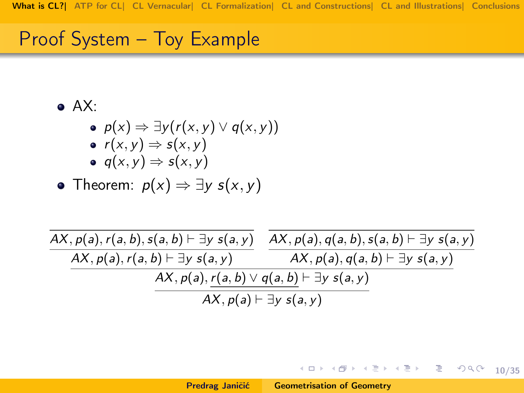#### Proof System – Toy Example

 $\bullet$  AX:

\n- • 
$$
p(x) \Rightarrow \exists y (r(x, y) \vee q(x, y))
$$
\n- •  $r(x, y) \Rightarrow s(x, y)$
\n

$$
\bullet \ \ q(x,y) \Rightarrow s(x,y)
$$

• Theorem: 
$$
p(x) \Rightarrow \exists y s(x, y)
$$

| $AX, p(a), r(a, b), s(a, b) \vdash \exists y s(a, y)$     | $AX, p(a), q(a, b), s(a, b) \vdash \exists y s(a, y)$ |  |  |  |
|-----------------------------------------------------------|-------------------------------------------------------|--|--|--|
| $AX, p(a), r(a, b) \vdash \exists y s(a, y)$              | $AX, p(a), q(a, b) \vdash \exists y s(a, y)$          |  |  |  |
| $AX, p(a), r(a, b) \vee q(a, b) \vdash \exists y s(a, y)$ |                                                       |  |  |  |
| $AX, p(a) \vdash \exists y s(a, y)$                       |                                                       |  |  |  |

<span id="page-9-0"></span>(ロ) (日) (ミ) (ミ) 등 이익어 10/35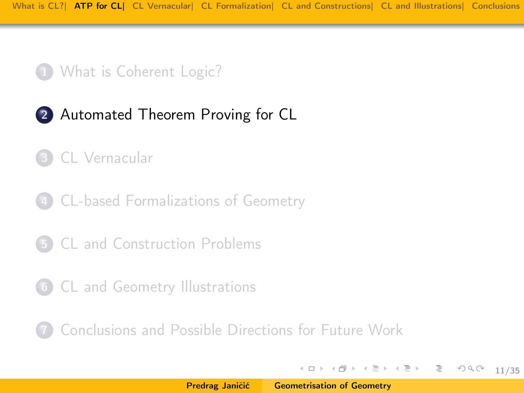#### 1 [What is Coherent Logic?](#page-3-0)

#### 2 [Automated Theorem Proving for CL](#page-10-0)

#### 3 [CL Vernacular](#page-13-0)

4 [CL-based Formalizations of Geometry](#page-17-0)

- 5 [CL and Construction Problems](#page-23-0)
- 6 [CL and Geometry Illustrations](#page-27-0)

7 [Conclusions and Possible Directions for Future Work](#page-33-0)

K ロ ▶ K @ ▶ K 글 ▶ K 글 ▶ │ 글 │

<span id="page-10-0"></span>11/35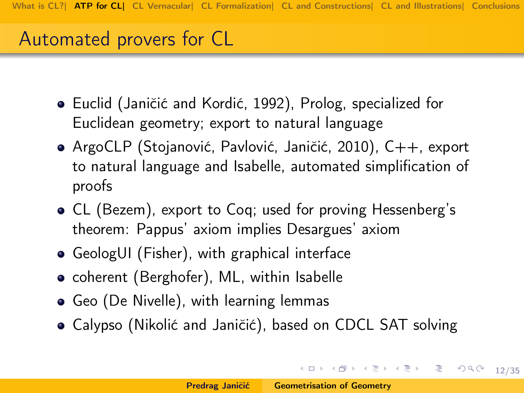#### Automated provers for CL

- Euclid (Janičić and Kordić, 1992), Prolog, specialized for Euclidean geometry; export to natural language
- ArgoCLP (Stojanović, Pavlović, Janičić, 2010), C++, export to natural language and Isabelle, automated simplification of proofs
- CL (Bezem), export to Coq; used for proving Hessenberg's theorem: Pappus' axiom implies Desargues' axiom
- GeologUI (Fisher), with graphical interface
- coherent (Berghofer), ML, within Isabelle
- Geo (De Nivelle), with learning lemmas
- Calypso (Nikolić and Janičić), based on CDCL SAT solving

10 → 1日 → 1월 → 1월 → 1월 → 2000 12/35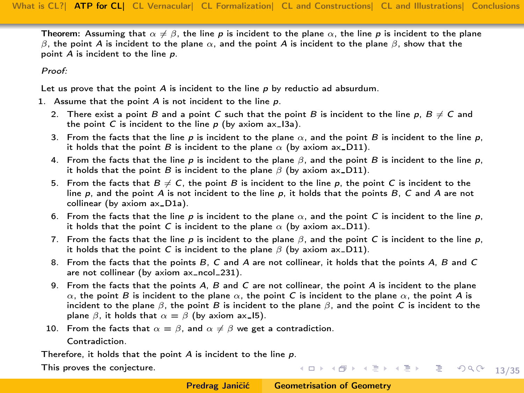Theorem: Assuming that  $\alpha \neq \beta$ , the line p is incident to the plane  $\alpha$ , the line p is incident to the plane β, the point A is incident to the plane  $\alpha$ , and the point A is incident to the plane β, show that the point A is incident to the line p.

Proof:

Let us prove that the point  $A$  is incident to the line  $p$  by reductio ad absurdum.

- 1. Assume that the point  $A$  is not incident to the line  $p$ .
	- 2. There exist a point B and a point C such that the point B is incident to the line p,  $B \neq C$  and the point C is incident to the line  $p$  (by axiom ax  $13a$ ).
	- 3. From the facts that the line p is incident to the plane  $\alpha$ , and the point B is incident to the line p, it holds that the point B is incident to the plane  $\alpha$  (by axiom ax\_D11).
	- 4. From the facts that the line p is incident to the plane  $\beta$ , and the point B is incident to the line p, it holds that the point B is incident to the plane  $\beta$  (by axiom ax\_D11).
	- 5. From the facts that  $B \neq C$ , the point B is incident to the line p, the point C is incident to the line p, and the point A is not incident to the line p, it holds that the points B, C and A are not collinear (by axiom ax\_D1a).
	- 6. From the facts that the line p is incident to the plane  $\alpha$ , and the point C is incident to the line p, it holds that the point C is incident to the plane  $\alpha$  (by axiom ax-D11).
	- 7. From the facts that the line p is incident to the plane  $\beta$ , and the point C is incident to the line p, it holds that the point C is incident to the plane  $\beta$  (by axiom ax D11).
	- 8. From the facts that the points B, C and A are not collinear, it holds that the points A, B and C are not collinear (by axiom  $ax\$ ncol  $231$ ).
	- 9. From the facts that the points A, B and C are not collinear, the point A is incident to the plane  $\alpha$ , the point B is incident to the plane  $\alpha$ , the point C is incident to the plane  $\alpha$ , the point A is incident to the plane  $\beta$ , the point B is incident to the plane  $\beta$ , and the point C is incident to the plane  $\beta$ , it holds that  $\alpha = \beta$  (by axiom ax 15).
	- 10. From the facts that  $\alpha = \beta$ , and  $\alpha \neq \beta$  we get a contradiction. Contradiction.

Therefore, it holds that the point  $A$  is incident to the line  $p$ .

This proves the conjecture.

10 H (日) (동) (동) 등 990 13/35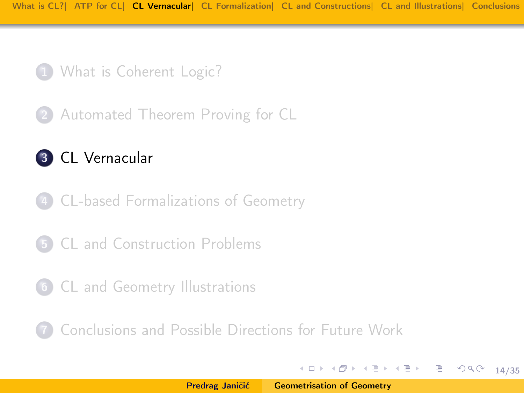

2 [Automated Theorem Proving for CL](#page-10-0)

#### 3 [CL Vernacular](#page-13-0)

- 4 [CL-based Formalizations of Geometry](#page-17-0)
- 5 [CL and Construction Problems](#page-23-0)
- 6 [CL and Geometry Illustrations](#page-27-0)

7 [Conclusions and Possible Directions for Future Work](#page-33-0)

지금 지수는 지금에 대해 주세요.

<span id="page-13-0"></span>14/35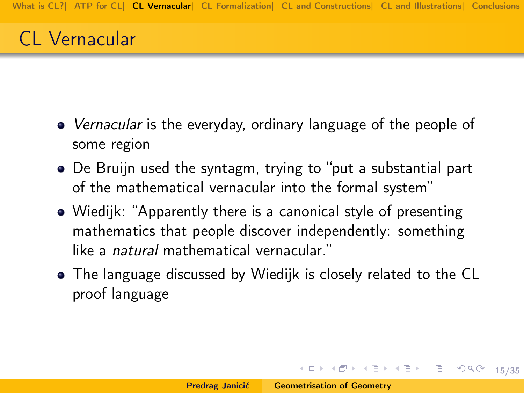# CL Vernacular

- *Vernacular* is the everyday, ordinary language of the people of some region
- De Bruijn used the syntagm, trying to "put a substantial part of the mathematical vernacular into the formal system"
- Wiedijk: "Apparently there is a canonical style of presenting mathematics that people discover independently: something like a natural mathematical vernacular."
- The language discussed by Wiedijk is closely related to the CL proof language

(ロ) (日) (日) (日) (日) 로 990 15/35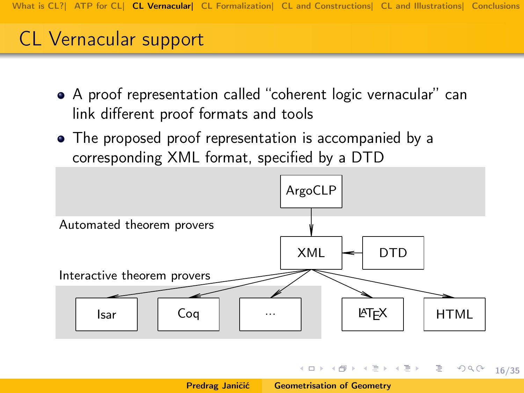## CL Vernacular support

- A proof representation called "coherent logic vernacular" can link different proof formats and tools
- The proposed proof representation is accompanied by a corresponding XML format, specified by a DTD



イロト イ団 トイミト イミト ニヨー りんぴ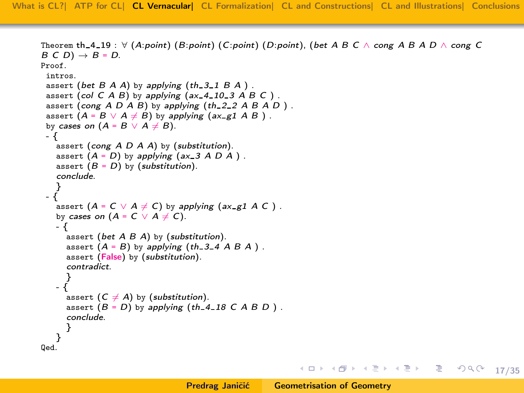```
Theorem th 4 19 : \forallpointbet A B C \landcong A B A D \land cong C
= D.Proof.
 intros.
 bet Bth 3-1 B A).
 col C A B) by applying (ax -410 -3 A B C).
 cong A D A Bth 2.2 A B A D).
 assert = B \vee A \neq B) by applying g1 \wedge B).
 by cases on = B \vee A \neq B).
- {
   assert cong } A \ D \ A \ A) by (\text{substitution}).
   assert = D) by applying ax - 3 A D A).
   assert = D) by (substitution).
   conclude.
   }
 - {
   assert = C \vee A \neq C) by applying g1 \wedge C).
   by cases on = C \vee A \neq C).
   - {
     bet A B A) by (substitution).
     assert = B)th 3.4 A B A).
     assert (False) by (substitution).
     contradict.
     }
   - {
     assert (C \neq A) by (substitution).
     assert = D) by applying 18 \text{ } C \text{ } A \text{ } B \text{ } D).
     conclude.
     }
   }
Qed.
```
イロト イ団 トイミト イミト ニヨー りんぴ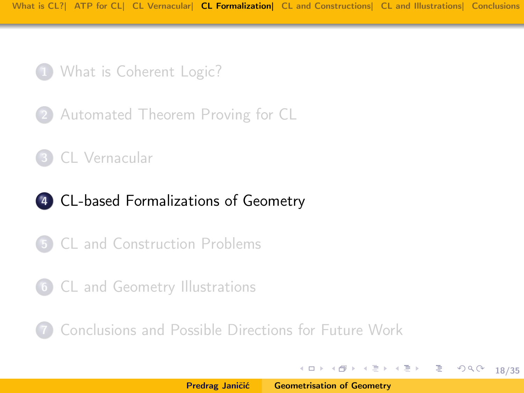1 [What is Coherent Logic?](#page-3-0)

2 [Automated Theorem Proving for CL](#page-10-0)

3 [CL Vernacular](#page-13-0)

#### 4 [CL-based Formalizations of Geometry](#page-17-0)

- 5 [CL and Construction Problems](#page-23-0)
- 6 [CL and Geometry Illustrations](#page-27-0)

7 [Conclusions and Possible Directions for Future Work](#page-33-0)

K ロ ▶ K @ ▶ K 글 ▶ K 글 ▶ │ 글 │

<span id="page-17-0"></span>18/35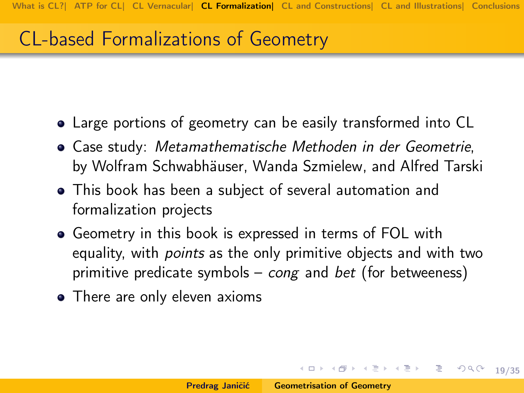## CL-based Formalizations of Geometry

- Large portions of geometry can be easily transformed into CL
- Case study: Metamathematische Methoden in der Geometrie, by Wolfram Schwabhäuser, Wanda Szmielew, and Alfred Tarski
- This book has been a subject of several automation and formalization projects
- Geometry in this book is expressed in terms of FOL with equality, with *points* as the only primitive objects and with two primitive predicate symbols – *cong* and *bet* (for betweeness)
- There are only eleven axioms

K ロ > K 레 > K 코 > K 코 > - 코 - Y Q Q Q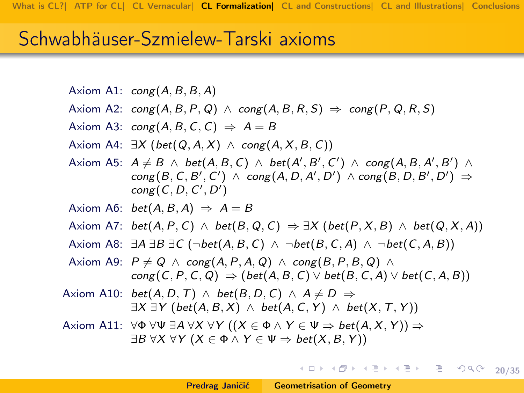#### Schwabhäuser-Szmielew-Tarski axioms

```
Axiom A1: \text{cong}(A, B, B, A)
```
- Axiom A2:  $\text{cong}(A, B, P, Q) \land \text{cong}(A, B, R, S) \Rightarrow \text{cong}(P, Q, R, S)$
- Axiom A3:  $\text{cong}(A, B, C, C) \Rightarrow A = B$
- Axiom A4:  $\exists X$  (bet(Q, A, X)  $\land$  cong(A, X, B, C))
- Axiom A5:  $A \neq B \land bet(A, B, C) \land bet(A', B', C') \land cong(A, B, A', B') \land$  $\mathsf{cong}(B,C,B',C') \ \wedge \ \mathsf{cong}(A,D,A',D') \ \wedge \ \mathsf{cong}(B,D,B',D') \Rightarrow$  $cong (C, D, C', D')$
- Axiom A6:  $bet(A, B, A) \Rightarrow A = B$
- Axiom A7: bet(A, P, C)  $\land$  bet(B, Q, C)  $\Rightarrow \exists X$  (bet(P, X, B)  $\land$  bet(Q, X, A))
- Axiom A8:  $\exists A \exists B \exists C (\neg bet(A, B, C) \land \neg bet(B, C, A) \land \neg bet(C, A, B))$
- Axiom A9:  $P \neq Q \land \text{cong}(A, P, A, Q) \land \text{cong}(B, P, B, Q) \land$  $cong(C, P, C, Q) \Rightarrow (bet(A, B, C) \vee bet(B, C, A) \vee bet(C, A, B))$
- Axiom A10:  $bet(A, D, T) \wedge bet(B, D, C) \wedge A \neq D \Rightarrow$  $\exists X \exists Y \text{ (bet}(A, B, X) \land \text{ bet}(A, C, Y) \land \text{ bet}(X, T, Y))$
- Axiom A11:  $\forall \Phi \forall \Psi \exists A \forall X \forall Y ((X \in \Phi \land Y \in \Psi \Rightarrow \text{bet}(A, X, Y)) \Rightarrow$  $\exists B \forall X \forall Y (X \in \Phi \land Y \in \Psi \Rightarrow \text{bet}(X, B, Y))$

< □ > < @ > < ミ > < ミ > □ ミ → つ Q (20/35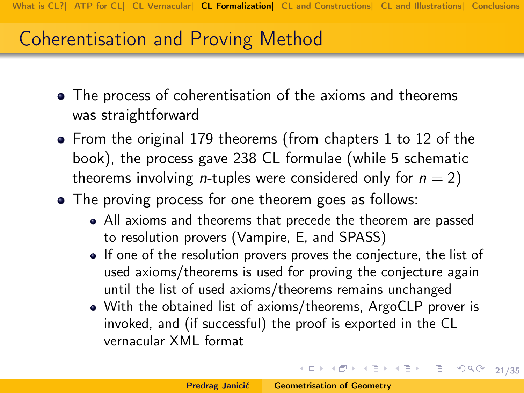## Coherentisation and Proving Method

- The process of coherentisation of the axioms and theorems was straightforward
- From the original 179 theorems (from chapters 1 to 12 of the book), the process gave 238 CL formulae (while 5 schematic theorems involving *n*-tuples were considered only for  $n = 2$ )
- The proving process for one theorem goes as follows:
	- All axioms and theorems that precede the theorem are passed to resolution provers (Vampire, E, and SPASS)
	- If one of the resolution provers proves the conjecture, the list of used axioms/theorems is used for proving the conjecture again until the list of used axioms/theorems remains unchanged
	- With the obtained list of axioms/theorems, ArgoCLP prover is invoked, and (if successful) the proof is exported in the CL vernacular XML format

イロメ イ部メ イヨメ イヨメ 一番

 $\mathcal{O}QC - 21/35$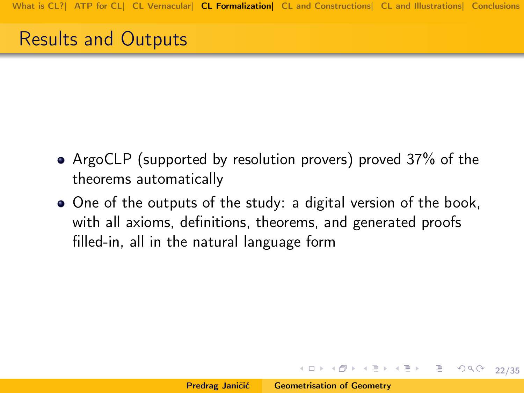### Results and Outputs

- ArgoCLP (supported by resolution provers) proved 37% of the theorems automatically
- One of the outputs of the study: a digital version of the book, with all axioms, definitions, theorems, and generated proofs filled-in, all in the natural language form

K ロ > K @ → K 할 > K 할 > 1 할 → 9 Q Q + 22/35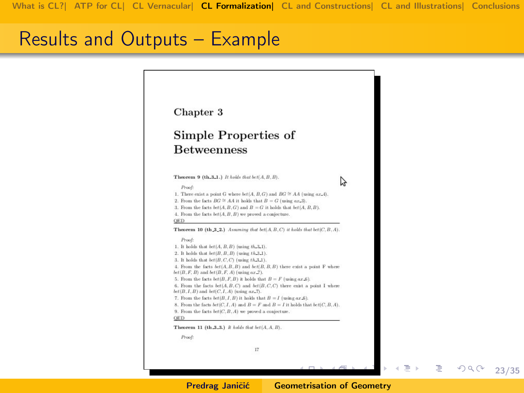#### Results and Outputs – Example



23/35

重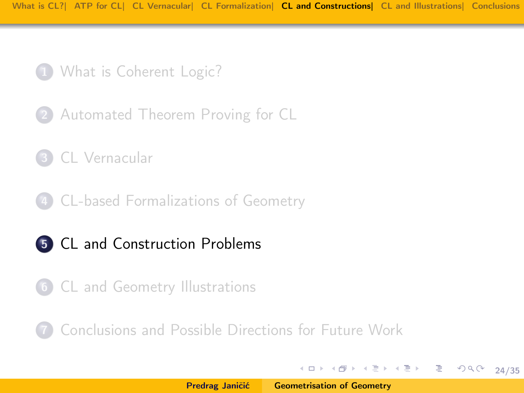- 1 [What is Coherent Logic?](#page-3-0)
- 2 [Automated Theorem Proving for CL](#page-10-0)
- 3 [CL Vernacular](#page-13-0)
- 4 [CL-based Formalizations of Geometry](#page-17-0)
- 5 [CL and Construction Problems](#page-23-0)
- 6 [CL and Geometry Illustrations](#page-27-0)

7 [Conclusions and Possible Directions for Future Work](#page-33-0)

イロメ イ部メ イミメ イミメー

<span id="page-23-0"></span>24/35

重。  $OQ$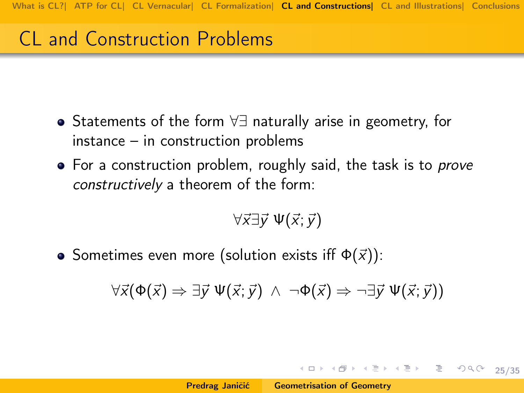# CL and Construction Problems

- Statements of the form ∀∃ naturally arise in geometry, for instance – in construction problems
- For a construction problem, roughly said, the task is to *prove* constructively a theorem of the form:

$$
\forall \vec{x} \exists \vec{y} \; \Psi(\vec{x};\vec{y})
$$

• Sometimes even more (solution exists iff  $\Phi(\vec{x})$ ):

$$
\forall \vec{x}(\Phi(\vec{x}) \Rightarrow \exists \vec{y} \; \Psi(\vec{x}; \vec{y}) \; \wedge \; \neg \Phi(\vec{x}) \Rightarrow \neg \exists \vec{y} \; \Psi(\vec{x}; \vec{y}))
$$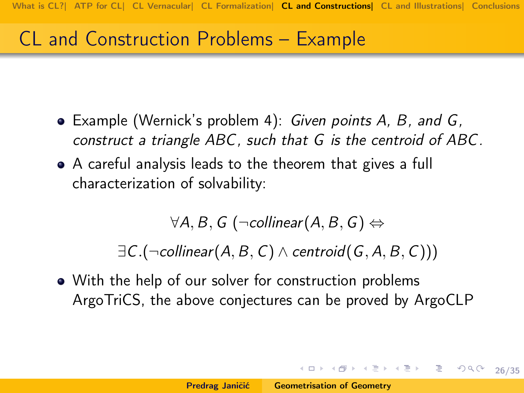## CL and Construction Problems – Example

- Example (Wernick's problem 4): Given points A, B, and G, construct a triangle ABC, such that G is the centroid of ABC.
- A careful analysis leads to the theorem that gives a full characterization of solvability:

 $\forall A, B, G$  ( $\neg$ collinear( $A, B, G$ )  $\Leftrightarrow$ 

 $\exists C.(\neg$ collinear(A, B, C)  $\land$  centroid(G, A, B, C)))

• With the help of our solver for construction problems ArgoTriCS, the above conjectures can be proved by ArgoCLP

4 ロ → 4 레 → 4 레 → 4 페 → 기료 → 주의 기료 → 26/35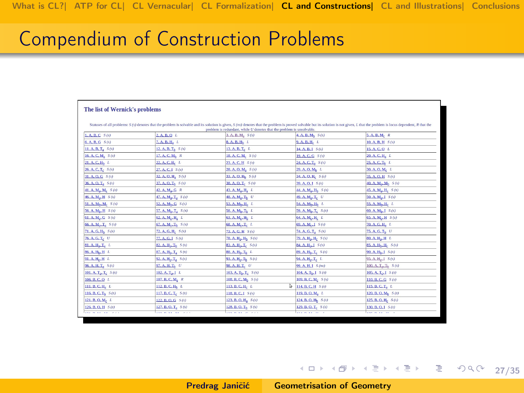#### Compendium of Construction Problems

| The list of Wernick's problems                                                                                                                                                                                                 |                            |                                   |                                   |                                |  |  |
|--------------------------------------------------------------------------------------------------------------------------------------------------------------------------------------------------------------------------------|----------------------------|-----------------------------------|-----------------------------------|--------------------------------|--|--|
|                                                                                                                                                                                                                                |                            |                                   |                                   |                                |  |  |
| Statuses of all problems: S (s) denotes that the problem is solvable and its solution is given, S (ns) denotes that the problem is proved solvable but its solution is not given, L that the problem is locus dependent, R tha |                            |                                   |                                   |                                |  |  |
| problem is redundant, while U denotes that the problem is unsolvable.                                                                                                                                                          |                            |                                   |                                   |                                |  |  |
| L.A.B.C.S(s)                                                                                                                                                                                                                   | 2.A.B.O.L<br>7, A, B, H, L | 3. A. B. M. S (s)                 | 4. A. B. Ms. S (s)                | S.A.B.M. R                     |  |  |
| 6. A. B. G. S (s)                                                                                                                                                                                                              |                            | $0, A, B, H_b, L$                 | 9. A. B. H. L                     | 10. A. B. H S (s)              |  |  |
| 11. A.B.T. 5(s)                                                                                                                                                                                                                | 12. A. B. T. S (s)         | 13. A. B. T. L                    | 14. A.B.1 5(s)                    | 15. A. C. O. L.                |  |  |
| 16. A. C. M. S (s)                                                                                                                                                                                                             | 17. A. C. M <sub>b</sub> R | 18. A. C. M. S (s)                | 19. A. C. G S (s)                 | 20. A. C. H. L                 |  |  |
| 21. A. C. Hs L                                                                                                                                                                                                                 | 22. A. C. H. L.            | 23. A. C. H S (s)                 | 24. A. C. T. S (s)                | 25. A. C. Ts L                 |  |  |
| 26. A. C. T. S (s)                                                                                                                                                                                                             | 27. A. C. J S (s)          | 28. A.O.M. S(s)                   | 29. A.O.M <sub>b</sub> L          | $30. A. O. M_c L$              |  |  |
| 31. A. O. G 5 (s)                                                                                                                                                                                                              | 32. A. O. H. S (s)         | 33. A. O. H., S (s)               | 34. A. O. H. S (s)                | 35. A. O. H 5 (s)              |  |  |
| 36. A. O. T. S (s)                                                                                                                                                                                                             | 37. A. O. Th. S (s)        | 38. A.O. L. S(s)                  | 39. A. Q. I S (s)                 | 40. A. M., Ms. 5 (s)           |  |  |
| 41. A. M <sub>3</sub> , M <sub>c</sub> 5(5)                                                                                                                                                                                    | 42. A. M., G R             | 43. A. M., H. L                   | 44. A. M., H. 5(s)                | 45. A. M., H. S (s)            |  |  |
| 46. A. M., H S(s)                                                                                                                                                                                                              | 47. A. M., T. S (s)        | 48. A. M., T. U.                  | 49. A. M., T. U                   | 50. A. M. 1 S(s)               |  |  |
| 51. A. Mr., M. S (s)                                                                                                                                                                                                           | 52. A. M., G. S (s)        | 53. A. M., H. L.                  | 54. A. M., H. L.                  | 55. A. M., H. L.               |  |  |
| 56. A. Ms. H S (s)                                                                                                                                                                                                             | 57. A. Mk. T. S (5)        | 50. A. M., T. L.                  | 59. A. Mh. T. S (s)               | 60. A. Mk. J S (s)             |  |  |
| 61. A. M., G 5(s)                                                                                                                                                                                                              | 62. A. Mc. H. L            | 63. A. M., H <sub>8</sub> L       | 64. A. M., H. L.                  | 65. A. M., H S(s)              |  |  |
| 66. A. M., T. S (s)                                                                                                                                                                                                            | $67. A, M, Tk$ $S(s)$      | 68. A. M. T. L                    | 69. A. M. J. S (s)                | 20. A. G. H. L                 |  |  |
| 71. A. G. Hs S(s)                                                                                                                                                                                                              | 72. A. G. H. S (s)         | 73. A. G. H S (s)                 | 74. A. G. T. S (s)                | 75. A. G. Ts. U                |  |  |
| 76. A. G. T. U                                                                                                                                                                                                                 | 77. A. G. I S (s)          | 78. A. H., H. 5(5)                | 79. A. H., H. S (s)               | 80. A.H., H L                  |  |  |
| 81. A. H., T. L.                                                                                                                                                                                                               | 82. A. H., T. S (s)        | 83. A. H., T. S(s)                | 84. A. H., J S (s)                | 85. A. H., H. S (s)            |  |  |
| 86. A. H., H L                                                                                                                                                                                                                 | 87. A. H., T. S (s)        | 88. A. H. T. L                    | 89. A. H. T. S (s)                | 90. A. H. J S (s)              |  |  |
| 91. A. H., H L                                                                                                                                                                                                                 | 92. A. H., T., S (s)       | 93. A. H., T. S (s)               | 94. A. H., T. L.                  | 95. A. H., J 5 (s)             |  |  |
| 96. A. H. T. S(s)                                                                                                                                                                                                              | 97. A. H. T. U             | 96.A.H.T. U                       | 99. A. H. I S (ns)                | 100. A. T., T. 5 (s)           |  |  |
| 101. A. T. T. S (s)                                                                                                                                                                                                            | 102. A. T. J L             | 103 A. $T_b$ , $T_c$ $S(s)$       | 104. A. Tr. 1 S (s)               | $105$ , A, T, $\Box$ $S(6)$    |  |  |
| 105, B, C, O L                                                                                                                                                                                                                 | 107. B. C. M. R            | 108. B. C. M <sub>b</sub> , S (s) | 109. B. C. M. S (s)               | 110, B. C. G S (s)             |  |  |
| 111. B.C.H. L                                                                                                                                                                                                                  | 112. B. C. H. L            | 113. B. C. H. L                   | $\frac{1}{2}$ 114, B, C, H $S(6)$ | 115, B, C, T, L                |  |  |
| 116, B. C. T. S (s)                                                                                                                                                                                                            | 117. B. C. T. S (s)        | 118.B.C.I S(s)                    | 119. B. O. M. L.                  | 120, B, O, M <sub>b</sub> S(s) |  |  |
| 121. B. O. M. L.                                                                                                                                                                                                               | 122. B. O. G S (s)         | 123 B.O.H. S(s)                   | 124, B. O. H., S (s)              | 125, B. O. H. S (s)            |  |  |
| 126, B. O. H S (s)                                                                                                                                                                                                             | 127. B. O. T. 5(s)         | 128. B.O. Th 5(s)                 | 129. B. O. T. S (s)               | 130, B. O. J. S (s)            |  |  |
| and more and com-                                                                                                                                                                                                              | and wine he was            | and more than the com-            | and in the case of                | and when you are               |  |  |

Predrag Janičić [Geometrisation of Geometry](#page-0-0)

4 ロ → 4 레 → 4 레 → 4 페 → 기호 → 주의 주의 기호 → 27/35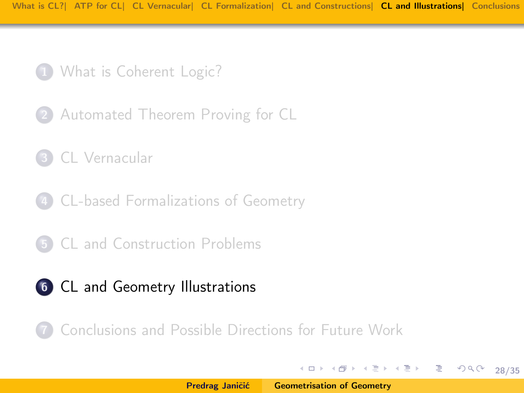- 1 [What is Coherent Logic?](#page-3-0)
- 2 [Automated Theorem Proving for CL](#page-10-0)
- 3 [CL Vernacular](#page-13-0)
- 4 [CL-based Formalizations of Geometry](#page-17-0)
- 5 [CL and Construction Problems](#page-23-0)
- 6 [CL and Geometry Illustrations](#page-27-0)

7 [Conclusions and Possible Directions for Future Work](#page-33-0)

イロメ イ部メ イミメ イミメー

<span id="page-27-0"></span>28/35

重。  $2Q$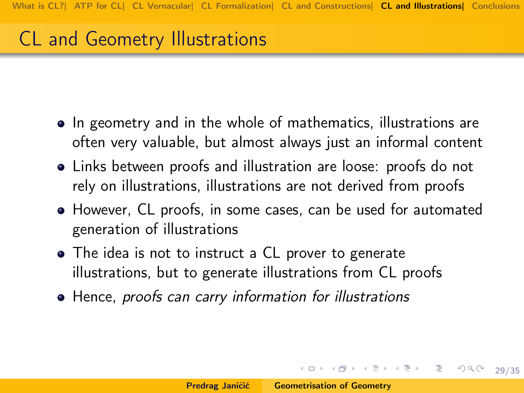# CL and Geometry Illustrations

- In geometry and in the whole of mathematics, illustrations are often very valuable, but almost always just an informal content
- Links between proofs and illustration are loose: proofs do not rely on illustrations, illustrations are not derived from proofs
- However, CL proofs, in some cases, can be used for automated generation of illustrations
- The idea is not to instruct a CL prover to generate illustrations, but to generate illustrations from CL proofs
- Hence, proofs can carry information for illustrations

4 ロ → 4 레 → 4 레 → 4 레 → → 레 레 레 → 레 → 레 게 레 레 레 → 기<br>35/35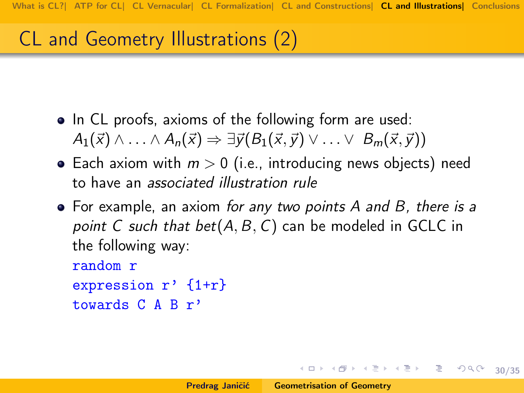# CL and Geometry Illustrations (2)

- In CL proofs, axioms of the following form are used:  $A_1(\vec{x}) \wedge \ldots \wedge A_n(\vec{x}) \Rightarrow \exists \vec{y} (B_1(\vec{x},\vec{y}) \vee \ldots \vee B_m(\vec{x},\vec{y}))$
- Each axiom with  $m > 0$  (i.e., introducing news objects) need to have an associated illustration rule
- For example, an axiom for any two points A and B, there is a point C such that  $bet(A, B, C)$  can be modeled in GCLC in the following way:

```
random r
expression r' {1+r}
```

```
towards C A B r'
```
(ロ) (日) (日) (日) (日) 로 99.0 30/35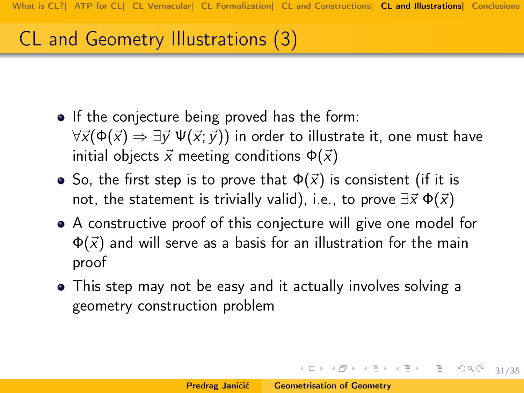# CL and Geometry Illustrations (3)

- If the conjecture being proved has the form:  $\forall \vec{x}(\Phi(\vec{x}) \Rightarrow \exists \vec{v} \; \Psi(\vec{x};\vec{v}))$  in order to illustrate it, one must have initial objects  $\vec{x}$  meeting conditions  $\Phi(\vec{x})$
- So, the first step is to prove that  $\Phi(\vec{x})$  is consistent (if it is not, the statement is trivially valid), i.e., to prove  $\exists \vec{x} \Phi(\vec{x})$
- A constructive proof of this conjecture will give one model for  $\Phi(\vec{x})$  and will serve as a basis for an illustration for the main proof
- This step may not be easy and it actually involves solving a geometry construction problem

4 ロ > 4 레 > 4 페 > 4 페 > 기로 → 이익 → 31/35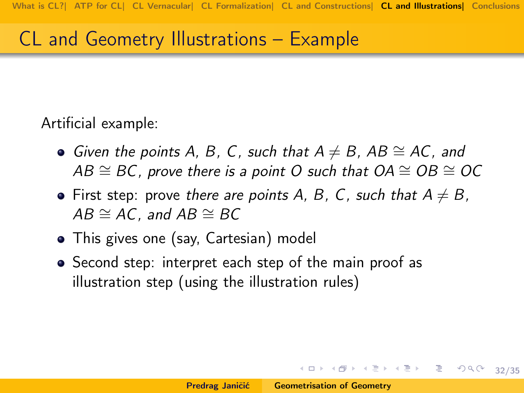## CL and Geometry Illustrations – Example

Artificial example:

- Given the points A, B, C, such that  $A \neq B$ , AB  $\cong$  AC, and  $AB \cong BC$ , prove there is a point O such that  $OA \cong OB \cong OC$
- First step: prove there are points A, B, C, such that  $A \neq B$ ,  $AB \cong AC$ , and  $AB \cong BC$
- This gives one (say, Cartesian) model
- Second step: interpret each step of the main proof as illustration step (using the illustration rules)

(ロ) (日) (日) (日) (日) 로 990 32/35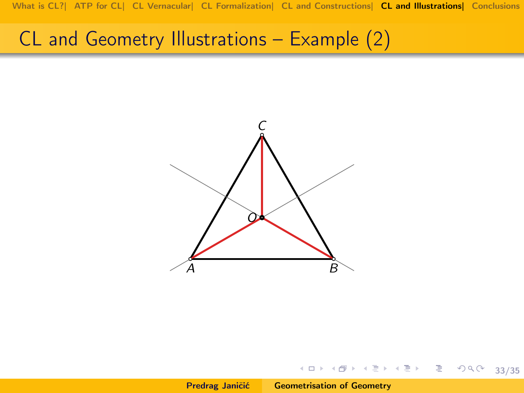[What is CL?|](#page-3-0) [ATP for CL|](#page-10-0) [CL Vernacular|](#page-13-0) [CL Formalization|](#page-17-0) [CL and Constructions|](#page-23-0) [CL and Illustrations|](#page-27-0) [Conclusions](#page-33-0)

#### CL and Geometry Illustrations – Example (2)



서비 시내 이 사람이 사람이 나 걸 ...

 $990 - 33/35$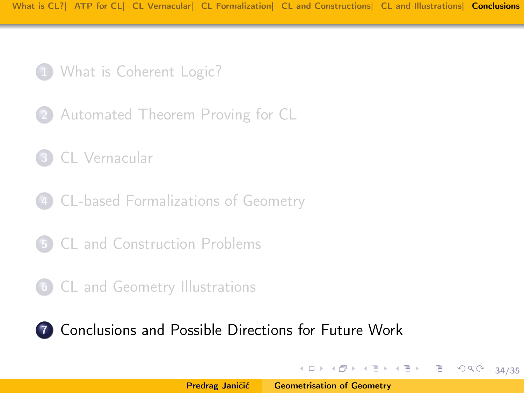- 1 [What is Coherent Logic?](#page-3-0)
- 2 [Automated Theorem Proving for CL](#page-10-0)
- 3 [CL Vernacular](#page-13-0)
- 4 [CL-based Formalizations of Geometry](#page-17-0)
- 5 [CL and Construction Problems](#page-23-0)
- 6 [CL and Geometry Illustrations](#page-27-0)

7 [Conclusions and Possible Directions for Future Work](#page-33-0)

イロメ イ部メ イミメ イミメー

<span id="page-33-0"></span>34/35

ミー  $2Q$